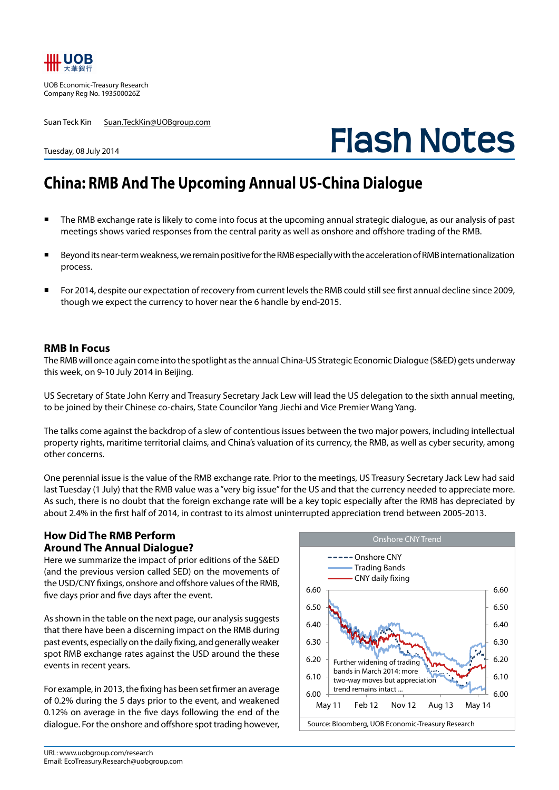

UOB Economic-Treasury Research Company Reg No. 193500026Z

Tuesday, 08 July 2014

Suan Teck Kin Suan.TeckKin@UOBgroup.com

# **Flash Notes**

## **China: RMB And The Upcoming Annual US-China Dialogue**

- The RMB exchange rate is likely to come into focus at the upcoming annual strategic dialogue, as our analysis of past meetings shows varied responses from the central parity as well as onshore and offshore trading of the RMB.
- Beyond its near-term weakness, we remain positive for the RMB especially with the acceleration of RMB internationalization process.
- For 2014, despite our expectation of recovery from current levels the RMB could still see first annual decline since 2009, though we expect the currency to hover near the 6 handle by end-2015.

### **RMB In Focus**

The RMB will once again come into the spotlight as the annual China-US Strategic Economic Dialogue (S&ED) gets underway this week, on 9-10 July 2014 in Beijing.

US Secretary of State John Kerry and Treasury Secretary Jack Lew will lead the US delegation to the sixth annual meeting, to be joined by their Chinese co-chairs, State Councilor Yang Jiechi and Vice Premier Wang Yang.

The talks come against the backdrop of a slew of contentious issues between the two major powers, including intellectual property rights, maritime territorial claims, and China's valuation of its currency, the RMB, as well as cyber security, among other concerns.

One perennial issue is the value of the RMB exchange rate. Prior to the meetings, US Treasury Secretary Jack Lew had said last Tuesday (1 July) that the RMB value was a "very big issue" for the US and that the currency needed to appreciate more. As such, there is no doubt that the foreign exchange rate will be a key topic especially after the RMB has depreciated by about 2.4% in the first half of 2014, in contrast to its almost uninterrupted appreciation trend between 2005-2013.

### **How Did The RMB Perform Around The Annual Dialogue?**

Here we summarize the impact of prior editions of the S&ED (and the previous version called SED) on the movements of the USD/CNY fixings, onshore and offshore values of the RMB, five days prior and five days after the event.

As shown in the table on the next page, our analysis suggests that there have been a discerning impact on the RMB during past events, especially on the daily fixing, and generally weaker spot RMB exchange rates against the USD around the these events in recent years.

For example, in 2013, the fixing has been set firmer an average of 0.2% during the 5 days prior to the event, and weakened 0.12% on average in the five days following the end of the dialogue. For the onshore and offshore spot trading however,

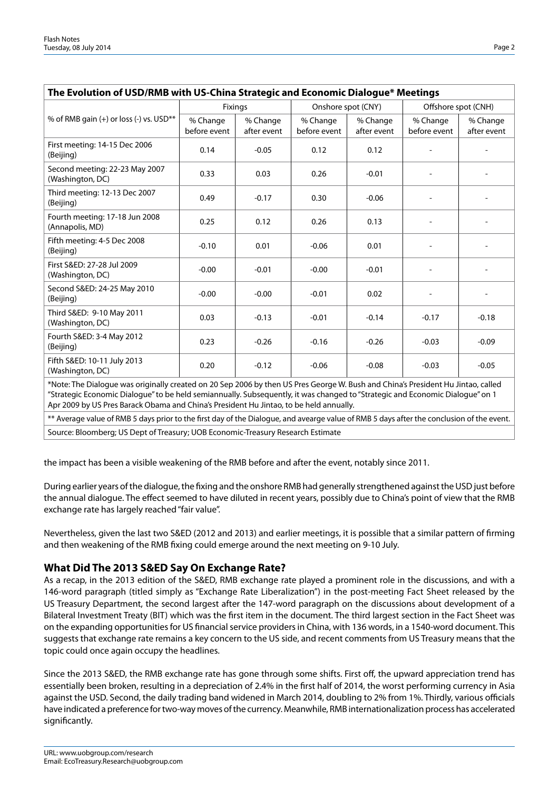| The Evolution of USD/RMB with US-China Strategic and Economic Dialogue* Meetings                                                 |                          |                         |                          |                         |                          |                         |  |  |  |  |
|----------------------------------------------------------------------------------------------------------------------------------|--------------------------|-------------------------|--------------------------|-------------------------|--------------------------|-------------------------|--|--|--|--|
|                                                                                                                                  | Fixings                  |                         | Onshore spot (CNY)       |                         | Offshore spot (CNH)      |                         |  |  |  |  |
| % of RMB gain (+) or loss (-) vs. USD**                                                                                          | % Change<br>before event | % Change<br>after event | % Change<br>before event | % Change<br>after event | % Change<br>before event | % Change<br>after event |  |  |  |  |
| First meeting: 14-15 Dec 2006<br>(Beijing)                                                                                       | 0.14                     | $-0.05$                 | 0.12                     | 0.12                    | $\overline{\phantom{a}}$ |                         |  |  |  |  |
| Second meeting: 22-23 May 2007<br>(Washington, DC)                                                                               | 0.33                     | 0.03                    | 0.26                     | $-0.01$                 | $\overline{\phantom{a}}$ |                         |  |  |  |  |
| Third meeting: 12-13 Dec 2007<br>(Beijing)                                                                                       | 0.49                     | $-0.17$                 | 0.30                     | $-0.06$                 | $\overline{\phantom{a}}$ | $\overline{a}$          |  |  |  |  |
| Fourth meeting: 17-18 Jun 2008<br>(Annapolis, MD)                                                                                | 0.25                     | 0.12                    | 0.26                     | 0.13                    | $\overline{\phantom{a}}$ |                         |  |  |  |  |
| Fifth meeting: 4-5 Dec 2008<br>(Beijing)                                                                                         | $-0.10$                  | 0.01                    | $-0.06$                  | 0.01                    |                          |                         |  |  |  |  |
| First S&ED: 27-28 Jul 2009<br>(Washington, DC)                                                                                   | $-0.00$                  | $-0.01$                 | $-0.00$                  | $-0.01$                 | $\overline{\phantom{a}}$ |                         |  |  |  |  |
| Second S&ED: 24-25 May 2010<br>(Beijing)                                                                                         | $-0.00$                  | $-0.00$                 | $-0.01$                  | 0.02                    | $\overline{\phantom{a}}$ |                         |  |  |  |  |
| Third S&ED: 9-10 May 2011<br>(Washington, DC)                                                                                    | 0.03                     | $-0.13$                 | $-0.01$                  | $-0.14$                 | $-0.17$                  | $-0.18$                 |  |  |  |  |
| Fourth S&ED: 3-4 May 2012<br>(Beijing)                                                                                           | 0.23                     | $-0.26$                 | $-0.16$                  | $-0.26$                 | $-0.03$                  | $-0.09$                 |  |  |  |  |
| Fifth S&ED: 10-11 July 2013<br>(Washington, DC)                                                                                  | 0.20                     | $-0.12$                 | $-0.06$                  | $-0.08$                 | $-0.03$                  | $-0.05$                 |  |  |  |  |
| *Note: The Dialogue was originally created on 20 Sep 2006 by then US Pres George W. Bush and China's President Hu Jintao, called |                          |                         |                          |                         |                          |                         |  |  |  |  |

\*Note: The Dialogue was originally created on 20 Sep 2006 by then US Pres George W. Bush and China's President Hu Jintao, called "Strategic Economic Dialogue" to be held semiannually. Subsequently, it was changed to "Strategic and Economic Dialogue" on 1 Apr 2009 by US Pres Barack Obama and China's President Hu Jintao, to be held annually.

\*\* Average value of RMB 5 days prior to the first day of the Dialogue, and avearge value of RMB 5 days after the conclusion of the event. Source: Bloomberg; US Dept of Treasury; UOB Economic-Treasury Research Estimate

the impact has been a visible weakening of the RMB before and after the event, notably since 2011.

During earlier years of the dialogue, the fixing and the onshore RMB had generally strengthened against the USD just before the annual dialogue. The effect seemed to have diluted in recent years, possibly due to China's point of view that the RMB exchange rate has largely reached "fair value".

Nevertheless, given the last two S&ED (2012 and 2013) and earlier meetings, it is possible that a similar pattern of firming and then weakening of the RMB fixing could emerge around the next meeting on 9-10 July.

### **What Did The 2013 S&ED Say On Exchange Rate?**

As a recap, in the 2013 edition of the S&ED, RMB exchange rate played a prominent role in the discussions, and with a 146-word paragraph (titled simply as "Exchange Rate Liberalization") in the post-meeting Fact Sheet released by the US Treasury Department, the second largest after the 147-word paragraph on the discussions about development of a Bilateral Investment Treaty (BIT) which was the first item in the document. The third largest section in the Fact Sheet was on the expanding opportunities for US financial service providers in China, with 136 words, in a 1540-word document. This suggests that exchange rate remains a key concern to the US side, and recent comments from US Treasury means that the topic could once again occupy the headlines.

Since the 2013 S&ED, the RMB exchange rate has gone through some shifts. First off, the upward appreciation trend has essentially been broken, resulting in a depreciation of 2.4% in the first half of 2014, the worst performing currency in Asia against the USD. Second, the daily trading band widened in March 2014, doubling to 2% from 1%. Thirdly, various officials have indicated a preference for two-way moves of the currency. Meanwhile, RMB internationalization process has accelerated significantly.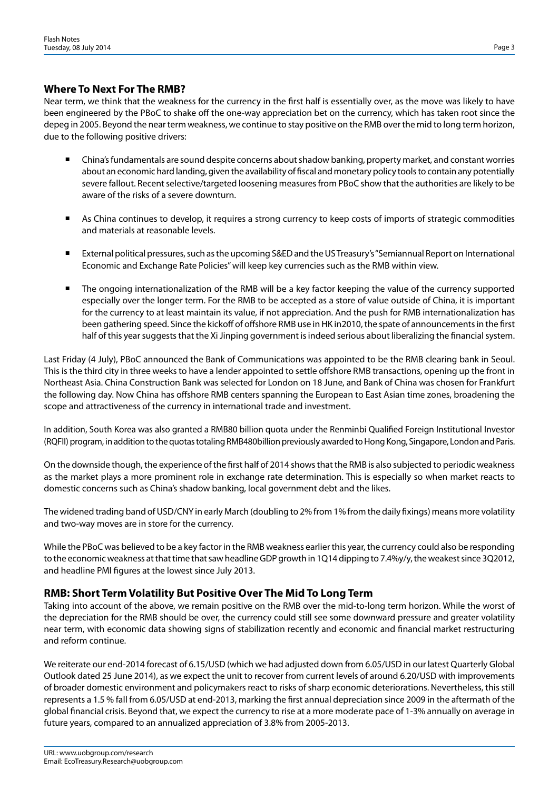### **Where To Next For The RMB?**

Near term, we think that the weakness for the currency in the first half is essentially over, as the move was likely to have been engineered by the PBoC to shake off the one-way appreciation bet on the currency, which has taken root since the depeg in 2005. Beyond the near term weakness, we continue to stay positive on the RMB over the mid to long term horizon, due to the following positive drivers:

- China's fundamentals are sound despite concerns about shadow banking, property market, and constant worries about an economic hard landing, given the availability of fiscal and monetary policy tools to contain any potentially severe fallout. Recent selective/targeted loosening measures from PBoC show that the authorities are likely to be aware of the risks of a severe downturn.
- As China continues to develop, it requires a strong currency to keep costs of imports of strategic commodities and materials at reasonable levels.
- External political pressures, such as the upcoming S&ED and the USTreasury's "Semiannual Report on International Economic and Exchange Rate Policies" will keep key currencies such as the RMB within view.
- The ongoing internationalization of the RMB will be a key factor keeping the value of the currency supported especially over the longer term. For the RMB to be accepted as a store of value outside of China, it is important for the currency to at least maintain its value, if not appreciation. And the push for RMB internationalization has been gathering speed. Since the kickoff of offshore RMB use in HK in2010, the spate of announcements in the first half of this year suggests that the Xi Jinping government is indeed serious about liberalizing the financial system.

Last Friday (4 July), PBoC announced the Bank of Communications was appointed to be the RMB clearing bank in Seoul. This is the third city in three weeks to have a lender appointed to settle offshore RMB transactions, opening up the front in Northeast Asia. China Construction Bank was selected for London on 18 June, and Bank of China was chosen for Frankfurt the following day. Now China has offshore RMB centers spanning the European to East Asian time zones, broadening the scope and attractiveness of the currency in international trade and investment.

In addition, South Korea was also granted a RMB80 billion quota under the Renminbi Qualified Foreign Institutional Investor (RQFII) program, in addition to the quotas totaling RMB480billion previously awarded to Hong Kong, Singapore, London and Paris.

On the downside though, the experience of the first half of 2014 shows that the RMB is also subjected to periodic weakness as the market plays a more prominent role in exchange rate determination. This is especially so when market reacts to domestic concerns such as China's shadow banking, local government debt and the likes.

The widened trading band of USD/CNY in early March (doubling to 2% from 1% from the daily fixings) means more volatility and two-way moves are in store for the currency.

While the PBoC was believed to be a key factor in the RMB weakness earlier this year, the currency could also be responding to the economic weakness at that time that saw headline GDP growth in 1Q14 dipping to 7.4%y/y, the weakest since 3Q2012, and headline PMI figures at the lowest since July 2013.

### **RMB: Short Term Volatility But Positive Over The Mid To Long Term**

Taking into account of the above, we remain positive on the RMB over the mid-to-long term horizon. While the worst of the depreciation for the RMB should be over, the currency could still see some downward pressure and greater volatility near term, with economic data showing signs of stabilization recently and economic and financial market restructuring and reform continue.

We reiterate our end-2014 forecast of 6.15/USD (which we had adjusted down from 6.05/USD in our latest Quarterly Global Outlook dated 25 June 2014), as we expect the unit to recover from current levels of around 6.20/USD with improvements of broader domestic environment and policymakers react to risks of sharp economic deteriorations. Nevertheless, this still represents a 1.5 % fall from 6.05/USD at end-2013, marking the first annual depreciation since 2009 in the aftermath of the global financial crisis. Beyond that, we expect the currency to rise at a more moderate pace of 1-3% annually on average in future years, compared to an annualized appreciation of 3.8% from 2005-2013.